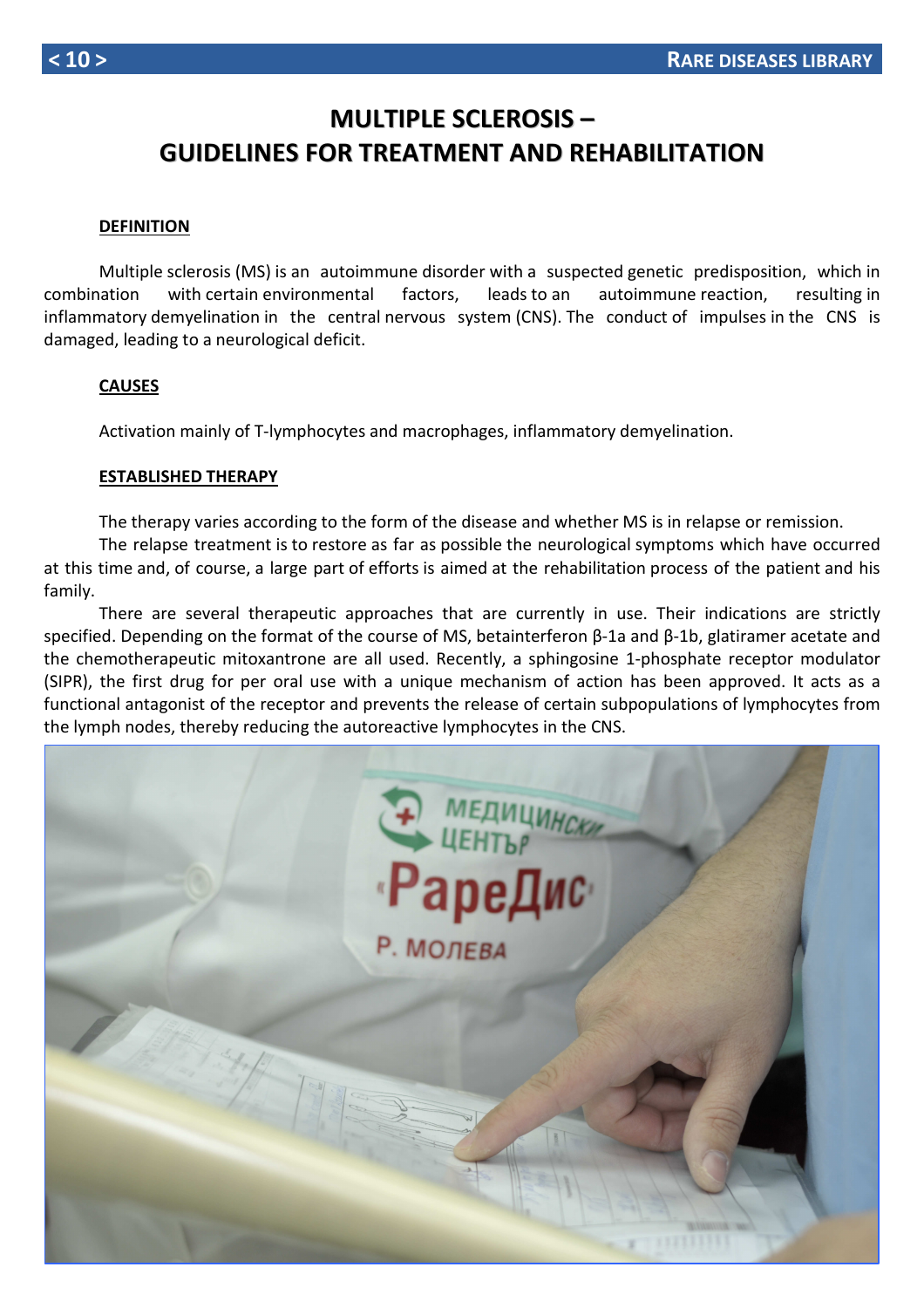# **MULTIPLE SCLEROSIS – GUIDELINES FOR TREATMENT AND REHABILITATION**

## **DEFINITION**

Multiple sclerosis (MS) is an autoimmune disorder with a suspected genetic predisposition, which in combination with certain environmental factors, leads to an autoimmune reaction, resulting in inflammatory demyelination in the central nervous system (CNS). The conduct of impulses in the CNS is damaged, leading to a neurological deficit.

# **CAUSES**

Activation mainly of T-lymphocytes and macrophages, inflammatory demyelination.

## **ESTABLISHED THERAPY**

The therapy varies according to the form of the disease and whether MS is in relapse or remission.

The relapse treatment is to restore as far as possible the neurological symptoms which have occurred at this time and, of course, a large part of efforts is aimed at the rehabilitation process of the patient and his family.

There are several therapeutic approaches that are currently in use. Their indications are strictly specified. Depending on the format of the course of MS, betainterferon β-1a and β-1b, glatiramer acetate and the chemotherapeutic mitoxantrone are all used. Recently, a sphingosine 1-phosphate receptor modulator (SIPR), the first drug for per oral use with a unique mechanism of action has been approved. It acts as a functional antagonist of the receptor and prevents the release of certain subpopulations of lymphocytes from the lymph nodes, thereby reducing the autoreactive lymphocytes in the CNS.